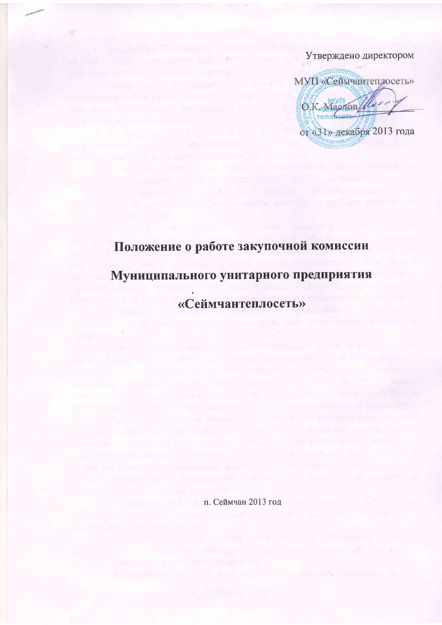Утверждено директором

МУП «Сеймчантеплосеть» O.K. Macros от «31» декабря 2013 года

## Положение о работе закупочной комиссии Муниципального унитарного предприятия «Сеймчантеплосеть»

п. Сеймчан 2013 год

and the second state of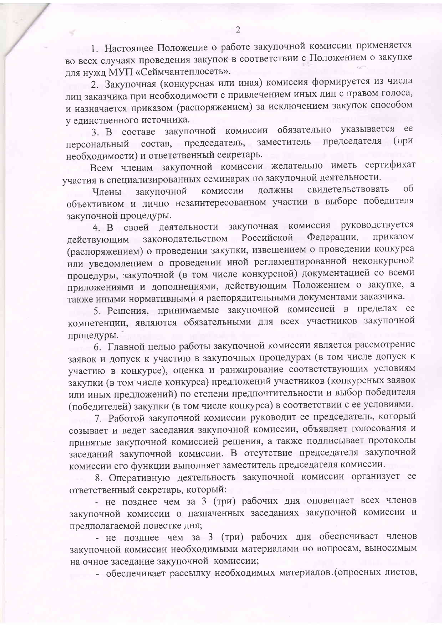1. Настоящее Положение о работе закупочной комиссии применяется во всех случаях проведения закупок в соответствии с Положением о закупке для нужд МУП «Сеймчантеплосеть».

2. Закупочная (конкурсная или иная) комиссия формируется из числа лиц заказчика при необходимости с привлечением иных лиц с правом голоса, и назначается приказом (распоряжением) за исключением закупок способом у единственного источника.

3. В составе закупочной комиссии обязательно указывается ее состав, председатель, заместитель председателя  $(\Pi)$ персональный необходимости) и ответственный секретарь.

Всем членам закупочной комиссии желательно иметь сертификат участия в специализированных семинарах по закупочной деятельности.

свидетельствовать  $\overline{O6}$ комиссии должны закупочной Члены объективном и лично незаинтересованном участии в выборе победителя закупочной процедуры.

закупочная комиссия руководствуется 4. В своей деятельности Федерации, приказом Российской законодательством действующим (распоряжением) о проведении закупки, извещением о проведении конкурса или уведомлением о проведении иной регламентированной неконкурсной процедуры, закупочной (в том числе конкурсной) документацией со всеми приложениями и дополнениями, действующим Положением о закупке, а также иными нормативными и распорядительными документами заказчика.

5. Решения, принимаемые закупочной комиссией в пределах ее компетенции, являются обязательными для всех участников закупочной процедуры.

6. Главной целью работы закупочной комиссии является рассмотрение заявок и допуск к участию в закупочных процедурах (в том числе допуск к участию в конкурсе), оценка и ранжирование соответствующих условиям закупки (в том числе конкурса) предложений участников (конкурсных заявок или иных предложений) по степени предпочтительности и выбор победителя (победителей) закупки (в том числе конкурса) в соответствии с ее условиями.

7. Работой закупочной комиссии руководит ее председатель, который созывает и ведет заседания закупочной комиссии, объявляет голосования и принятые закупочной комиссией решения, а также подписывает протоколы заседаний закупочной комиссии. В отсутствие председателя закупочной комиссии его функции выполняет заместитель председателя комиссии.

8. Оперативную деятельность закупочной комиссии организует ее ответственный секретарь, который:

- не позднее чем за 3 (три) рабочих дня оповещает всех членов закупочной комиссии о назначенных заседаниях закупочной комиссии и предполагаемой повестке дня;

- не позднее чем за 3 (три) рабочих дня обеспечивает членов закупочной комиссии необходимыми материалами по вопросам, выносимым на очное заседание закупочной комиссии;

- обеспечивает рассылку необходимых материалов (опросных листов,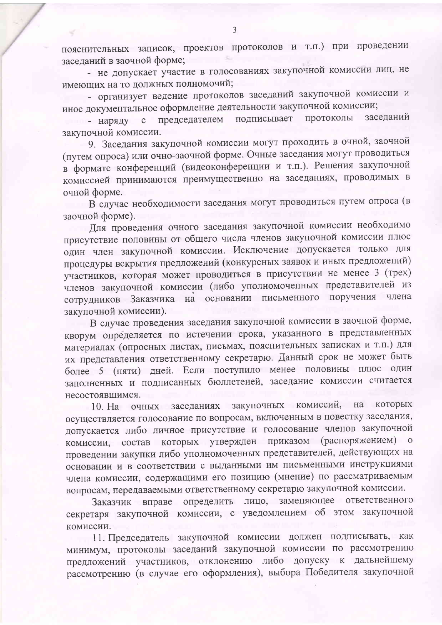пояснительных записок, проектов протоколов и т.п.) при проведении заседаний в заочной форме;

- не допускает участие в голосованиях закупочной комиссии лиц, не имеющих на то должных полномочий;

- организует ведение протоколов заседаний закупочной комиссии и иное документальное оформление деятельности закупочной комиссии;

подписывает протоколы заседаний председателем - наряду  $\mathbf c$ закупочной комиссии.

9. Заседания закупочной комиссии могут проходить в очной, заочной (путем опроса) или очно-заочной форме. Очные заседания могут проводиться в формате конференций (видеоконференции и т.п.). Решения закупочной комиссией принимаются преимущественно на заседаниях, проводимых в очной форме.

В случае необходимости заседания могут проводиться путем опроса (в заочной форме).

Для проведения очного заседания закупочной комиссии необходимо присутствие половины от общего числа членов закупочной комиссии плюс один член закупочной комиссии. Исключение допускается только для процедуры вскрытия предложений (конкурсных заявок и иных предложений) участников, которая может проводиться в присутствии не менее 3 (трех) членов закупочной комиссии (либо уполномоченных представителей из сотрудников Заказчика на основании письменного поручения члена закупочной комиссии).

В случае проведения заседания закупочной комиссии в заочной форме, кворум определяется по истечении срока, указанного в представленных материалах (опросных листах, письмах, пояснительных записках и т.п.) для их представления ответственному секретарю. Данный срок не может быть более 5 (пяти) дней. Если поступило менее половины плюс один заполненных и подписанных бюллетеней, заседание комиссии считается несостоявшимся.

10. На очных заседаниях закупочных комиссий, на которых осуществляется голосование по вопросам, включенным в повестку заседания, допускается либо личное присутствие и голосование членов закупочной комиссии, состав которых утвержден приказом (распоряжением) о проведении закупки либо уполномоченных представителей, действующих на основании и в соответствии с выданными им письменными инструкциями члена комиссии, содержащими его позицию (мнение) по рассматриваемым вопросам, передаваемыми ответственному секретарю закупочной комиссии.

Заказчик вправе определить лицо, заменяющее ответственного секретаря закупочной комиссии, с уведомлением об этом закупочной комиссии.

11. Председатель закупочной комиссии должен подписывать, как минимум, протоколы заседаний закупочной комиссии по рассмотрению предложений участников, отклонению либо допуску к дальнейшему рассмотрению (в случае его оформления), выбора Победителя закупочной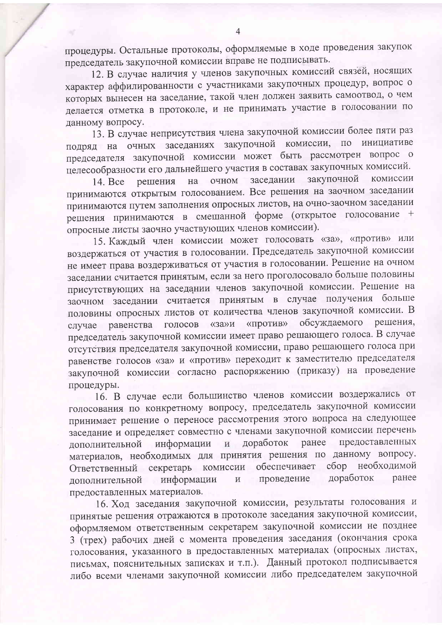процедуры. Остальные протоколы, оформляемые в ходе проведения закупок председатель закупочной комиссии вправе не подписывать.

12. В случае наличия у членов закупочных комиссий связей, носящих характер аффилированности с участниками закупочных процедур, вопрос о которых вынесен на заседание, такой член должен заявить самоотвод, о чем делается отметка в протоколе, и не принимать участие в голосовании по данному вопросу.

13. В случае неприсутствия члена закупочной комиссии более пяти раз подряд на очных заседаниях закупочной комиссии, по инициативе председателя закупочной комиссии может быть рассмотрен вопрос о целесообразности его дальнейшего участия в составах закупочных комиссий.

закупочной комиссии заседании очном решения на 14. Bce принимаются открытым голосованием. Все решения на заочном заседании принимаются путем заполнения опросных листов, на очно-заочном заседании решения принимаются в смешанной форме (открытое голосование + опросные листы заочно участвующих членов комиссии).

15. Каждый член комиссии может голосовать «за», «против» или воздержаться от участия в голосовании. Председатель закупочной комиссии не имеет права воздерживаться от участия в голосовании. Решение на очном заседании считается принятым, если за него проголосовало больше половины присутствующих на заседании членов закупочной комиссии. Решение на заочном заседании считается принятым в случае получения больше половины опросных листов от количества членов закупочной комиссии. В решения, случае равенства голосов «за»и «против» обсуждаемого председатель закупочной комиссии имеет право решающего голоса. В случае отсутствия председателя закупочной комиссии, право решающего голоса при равенстве голосов «за» и «против» переходит к заместителю председателя закупочной комиссии согласно распоряжению (приказу) на проведение процедуры.

16. В случае если большинство членов комиссии воздержались от голосования по конкретному вопросу, председатель закупочной комиссии принимает решение о переносе рассмотрения этого вопроса на следующее заседание и определяет совместно с членами закупочной комиссии перечень предоставленных ранее информации доработок  $\mathbf{H}$ дополнительной материалов, необходимых для принятия решения по данному вопросу. Ответственный секретарь комиссии обеспечивает сбор необходимой доработок ранее информации проведение дополнительной  $\overline{\mathbf{M}}$ предоставленных материалов.

16. Ход заседания закупочной комиссии, результаты голосования и принятые решения отражаются в протоколе заседания закупочной комиссии, оформляемом ответственным секретарем закупочной комиссии не позднее 3 (трех) рабочих дней с момента проведения заседания (окончания срока голосования, указанного в предоставленных материалах (опросных листах, письмах, пояснительных записках и т.п.). Данный протокол подписывается либо всеми членами закупочной комиссии либо председателем закупочной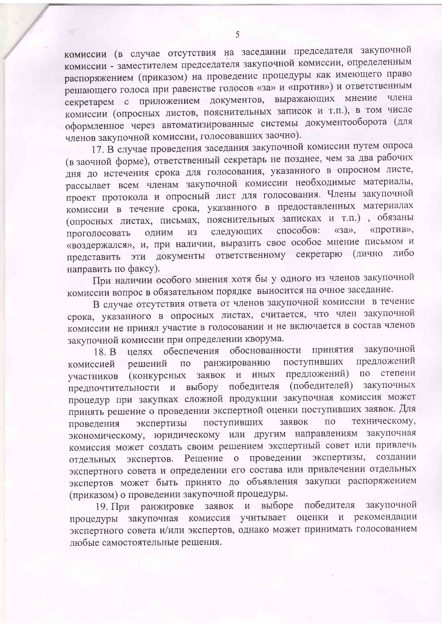комиссии (в случае отсутствия на заседании председателя закупочной комиссии - заместителем председателя закупочной комиссии, определенным распоряжением (приказом) на проведение процедуры как имеющего право решающего голоса при равенстве голосов «за» и «против») и ответственным секретарем с приложением документов, выражающих мнение члена комиссии (опросных листов, пояснительных записок и т.п.), в том числе оформленное через автоматизированные системы документооборота (для членов закупочной комиссии, голосовавших заочно).

17. В случае проведения заседания закупочной комиссии путем опроса (в заочной форме), ответственный секретарь не позднее, чем за два рабочих дня до истечения срока для голосования, указанного в опросном листе, рассылает всем членам закупочной комиссии необходимые материалы, проект протокола и опросный лист для голосования. Члены закупочной комиссии в течение срока, указанного в предоставленных материалах (опросных листах, письмах, пояснительных записках и т.п.), обязаны  $\langle$ (32), «против», способов: следующих **H3** ОДНИМ проголосовать «воздержался», и, при наличии, выразить свое особое мнение письмом и представить эти документы ответственному секретарю (лично либо направить по факсу).

При наличии особого мнения хотя бы у одного из членов закупочной комиссии вопрос в обязательном порядке выносится на очное заседание.

В случае отсутствия ответа от членов закупочной комиссии в течение срока, указанного в опросных листах, считается, что член закупочной комиссии не принял участие в голосовании и не включается в состав членов закупочной комиссии при определении кворума.

принятия закупочной целях обеспечения обоснованности  $18. B$ предложений поступивших ранжированию  $\overline{10}$ решений комиссией по степени предложений) заявок и иных (конкурсных участников предпочтительности и выбору победителя (победителей) закупочных процедур при закупках сложной продукции закупочная комиссия может принять решение о проведении экспертной оценки поступивших заявок. Для техническому,  $\Pi$ O заявок экспертизы поступивших проведения экономическому, юридическому или другим направлениям закупочная комиссия может создать своим решением экспертный совет или привлечь отдельных экспертов. Решение о проведении экспертизы, создании экспертного совета и определении его состава или привлечении отдельных экспертов может быть принято до объявления закупки распоряжением (приказом) о проведении закупочной процедуры.

19. При ранжировке заявок и выборе победителя закупочной процедуры закупочная комиссия учитывает оценки и рекомендации экспертного совета и/или экспертов, однако может принимать голосованием любые самостоятельные решения.